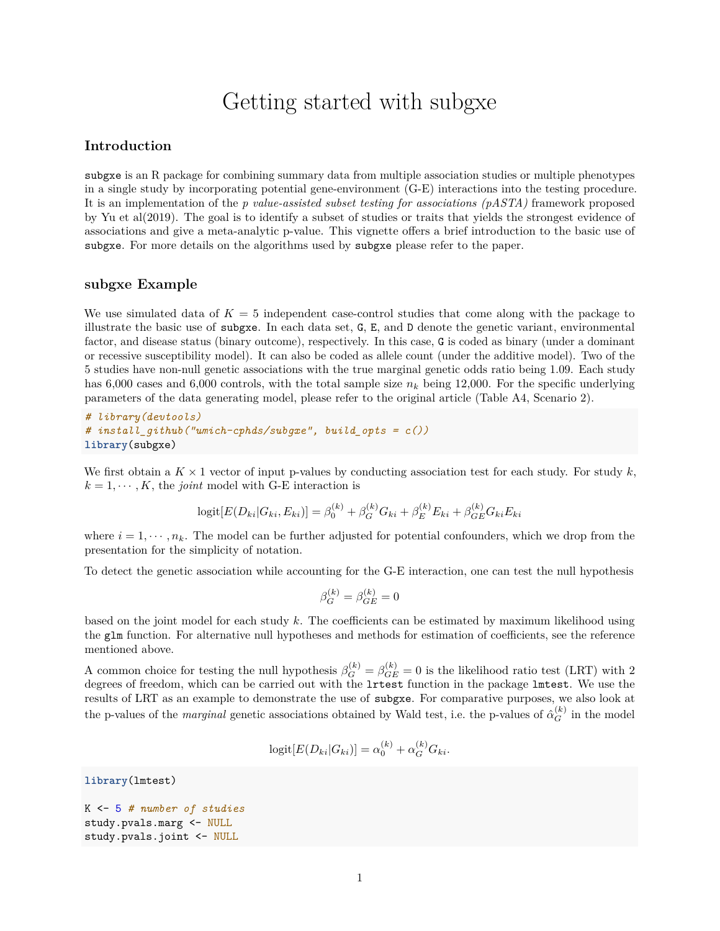## Getting started with subgxe

## **Introduction**

subgxe is an R package for combining summary data from multiple association studies or multiple phenotypes in a single study by incorporating potential gene-environment (G-E) interactions into the testing procedure. It is an implementation of the *p value-assisted subset testing for associations (pASTA)* framework proposed by Yu et al(2019). The goal is to identify a subset of studies or traits that yields the strongest evidence of associations and give a meta-analytic p-value. This vignette offers a brief introduction to the basic use of subgxe. For more details on the algorithms used by subgxe please refer to the paper.

## **subgxe Example**

We use simulated data of  $K = 5$  independent case-control studies that come along with the package to illustrate the basic use of subgxe. In each data set, G, E, and D denote the genetic variant, environmental factor, and disease status (binary outcome), respectively. In this case, G is coded as binary (under a dominant or recessive susceptibility model). It can also be coded as allele count (under the additive model). Two of the 5 studies have non-null genetic associations with the true marginal genetic odds ratio being 1.09. Each study has 6,000 cases and 6,000 controls, with the total sample size  $n_k$  being 12,000. For the specific underlying parameters of the data generating model, please refer to the original [article](https://doi.org/10.1159/000496867) (Table A4, Scenario 2).

*# library(devtools) # install\_github("umich-cphds/subgxe", build\_opts = c())* **library**(subgxe)

We first obtain a  $K \times 1$  vector of input p-values by conducting association test for each study. For study  $k$ ,  $k = 1, \dots, K$ , the *joint* model with G-E interaction is

$$
logit[E(D_{ki}|G_{ki}, E_{ki})] = \beta_0^{(k)} + \beta_G^{(k)}G_{ki} + \beta_E^{(k)}E_{ki} + \beta_{GE}^{(k)}G_{ki}E_{ki}
$$

where  $i = 1, \dots, n_k$ . The model can be further adjusted for potential confounders, which we drop from the presentation for the simplicity of notation.

To detect the genetic association while accounting for the G-E interaction, one can test the null hypothesis

$$
\beta_G^{(k)} = \beta_{GE}^{(k)} = 0
$$

based on the joint model for each study *k*. The coefficients can be estimated by maximum likelihood using the glm function. For alternative null hypotheses and methods for estimation of coefficients, see the [reference](https://doi.org/10.1159/000496867) mentioned above.

A common choice for testing the null hypothesis  $\beta_G^{(k)} = \beta_{GE}^{(k)} = 0$  is the likelihood ratio test (LRT) with 2 degrees of freedom, which can be carried out with the lrtest function in the package lmtest. We use the results of LRT as an example to demonstrate the use of subgxe. For comparative purposes, we also look at the p-values of the *marginal* genetic associations obtained by Wald test, i.e. the p-values of  $\hat{\alpha}_G^{(k)}$  in the model

$$
logit[E(D_{ki}|G_{ki})] = \alpha_0^{(k)} + \alpha_G^{(k)}G_{ki}.
$$

**library**(lmtest)

```
K <- 5 # number of studies
study.pvals.marg <- NULL
study.pvals.joint <- NULL
```